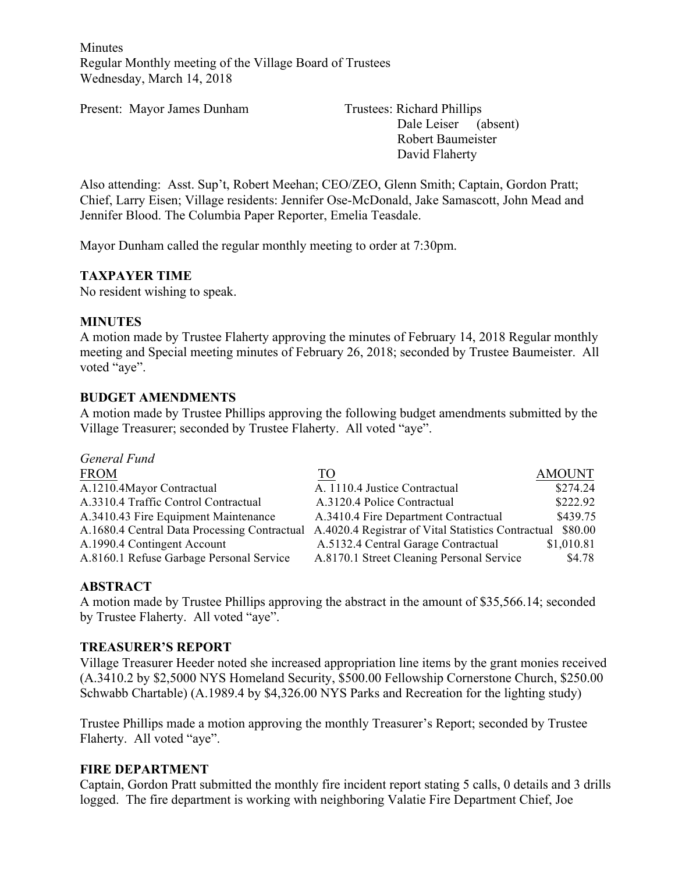**Minutes** Regular Monthly meeting of the Village Board of Trustees Wednesday, March 14, 2018

Present: Mayor James Dunham Trustees: Richard Phillips

Dale Leiser (absent) Robert Baumeister David Flaherty

Also attending: Asst. Sup't, Robert Meehan; CEO/ZEO, Glenn Smith; Captain, Gordon Pratt; Chief, Larry Eisen; Village residents: Jennifer Ose-McDonald, Jake Samascott, John Mead and Jennifer Blood. The Columbia Paper Reporter, Emelia Teasdale.

Mayor Dunham called the regular monthly meeting to order at 7:30pm.

#### **TAXPAYER TIME**

No resident wishing to speak.

#### **MINUTES**

A motion made by Trustee Flaherty approving the minutes of February 14, 2018 Regular monthly meeting and Special meeting minutes of February 26, 2018; seconded by Trustee Baumeister. All voted "aye".

#### **BUDGET AMENDMENTS**

A motion made by Trustee Phillips approving the following budget amendments submitted by the Village Treasurer; seconded by Trustee Flaherty. All voted "aye".

| General Fund                                 |                                                    |               |
|----------------------------------------------|----------------------------------------------------|---------------|
| <b>FROM</b>                                  | TO                                                 | <b>AMOUNT</b> |
| A.1210.4Mayor Contractual                    | A. 1110.4 Justice Contractual                      | \$274.24      |
| A.3310.4 Traffic Control Contractual         | A.3120.4 Police Contractual                        | \$222.92      |
| A.3410.43 Fire Equipment Maintenance         | A.3410.4 Fire Department Contractual               | \$439.75      |
| A.1680.4 Central Data Processing Contractual | A.4020.4 Registrar of Vital Statistics Contractual | \$80.00       |
| A.1990.4 Contingent Account                  | A.5132.4 Central Garage Contractual                | \$1,010.81    |
| A.8160.1 Refuse Garbage Personal Service     | A.8170.1 Street Cleaning Personal Service          | \$4.78        |

#### **ABSTRACT**

A motion made by Trustee Phillips approving the abstract in the amount of \$35,566.14; seconded by Trustee Flaherty. All voted "aye".

#### **TREASURER'S REPORT**

Village Treasurer Heeder noted she increased appropriation line items by the grant monies received (A.3410.2 by \$2,5000 NYS Homeland Security, \$500.00 Fellowship Cornerstone Church, \$250.00 Schwabb Chartable) (A.1989.4 by \$4,326.00 NYS Parks and Recreation for the lighting study)

Trustee Phillips made a motion approving the monthly Treasurer's Report; seconded by Trustee Flaherty. All voted "aye".

#### **FIRE DEPARTMENT**

Captain, Gordon Pratt submitted the monthly fire incident report stating 5 calls, 0 details and 3 drills logged. The fire department is working with neighboring Valatie Fire Department Chief, Joe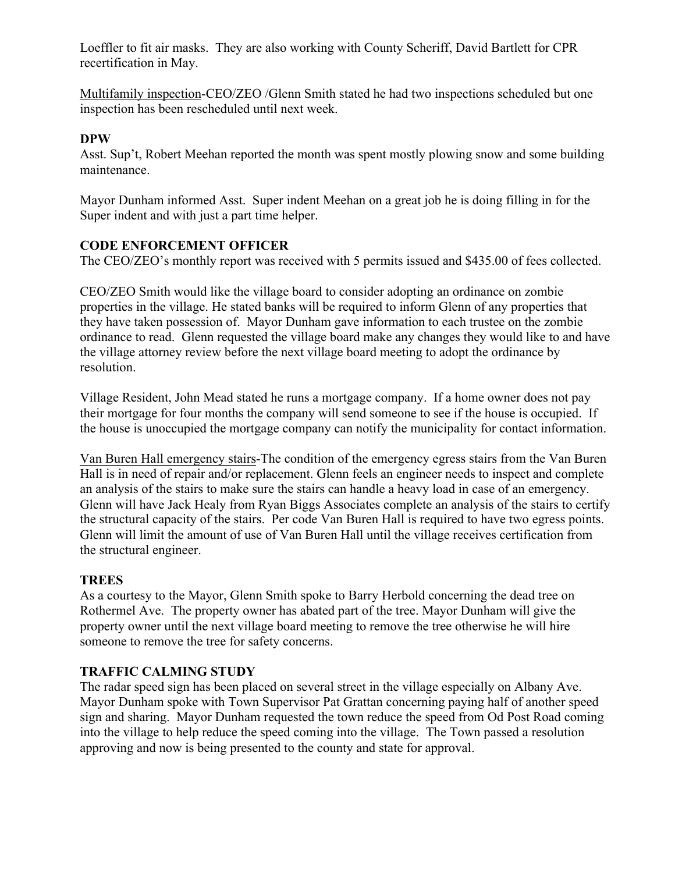Loeffler to fit air masks. They are also working with County Scheriff, David Bartlett for CPR recertification in May.

Multifamily inspection-CEO/ZEO /Glenn Smith stated he had two inspections scheduled but one inspection has been rescheduled until next week.

## **DPW**

Asst. Sup't, Robert Meehan reported the month was spent mostly plowing snow and some building maintenance.

Mayor Dunham informed Asst. Super indent Meehan on a great job he is doing filling in for the Super indent and with just a part time helper.

## **CODE ENFORCEMENT OFFICER**

The CEO/ZEO's monthly report was received with 5 permits issued and \$435.00 of fees collected.

CEO/ZEO Smith would like the village board to consider adopting an ordinance on zombie properties in the village. He stated banks will be required to inform Glenn of any properties that they have taken possession of. Mayor Dunham gave information to each trustee on the zombie ordinance to read. Glenn requested the village board make any changes they would like to and have the village attorney review before the next village board meeting to adopt the ordinance by resolution.

Village Resident, John Mead stated he runs a mortgage company. If a home owner does not pay their mortgage for four months the company will send someone to see if the house is occupied. If the house is unoccupied the mortgage company can notify the municipality for contact information.

Van Buren Hall emergency stairs-The condition of the emergency egress stairs from the Van Buren Hall is in need of repair and/or replacement. Glenn feels an engineer needs to inspect and complete an analysis of the stairs to make sure the stairs can handle a heavy load in case of an emergency. Glenn will have Jack Healy from Ryan Biggs Associates complete an analysis of the stairs to certify the structural capacity of the stairs. Per code Van Buren Hall is required to have two egress points. Glenn will limit the amount of use of Van Buren Hall until the village receives certification from the structural engineer.

## **TREES**

As a courtesy to the Mayor, Glenn Smith spoke to Barry Herbold concerning the dead tree on Rothermel Ave. The property owner has abated part of the tree. Mayor Dunham will give the property owner until the next village board meeting to remove the tree otherwise he will hire someone to remove the tree for safety concerns.

## **TRAFFIC CALMING STUDY**

The radar speed sign has been placed on several street in the village especially on Albany Ave. Mayor Dunham spoke with Town Supervisor Pat Grattan concerning paying half of another speed sign and sharing. Mayor Dunham requested the town reduce the speed from Od Post Road coming into the village to help reduce the speed coming into the village. The Town passed a resolution approving and now is being presented to the county and state for approval.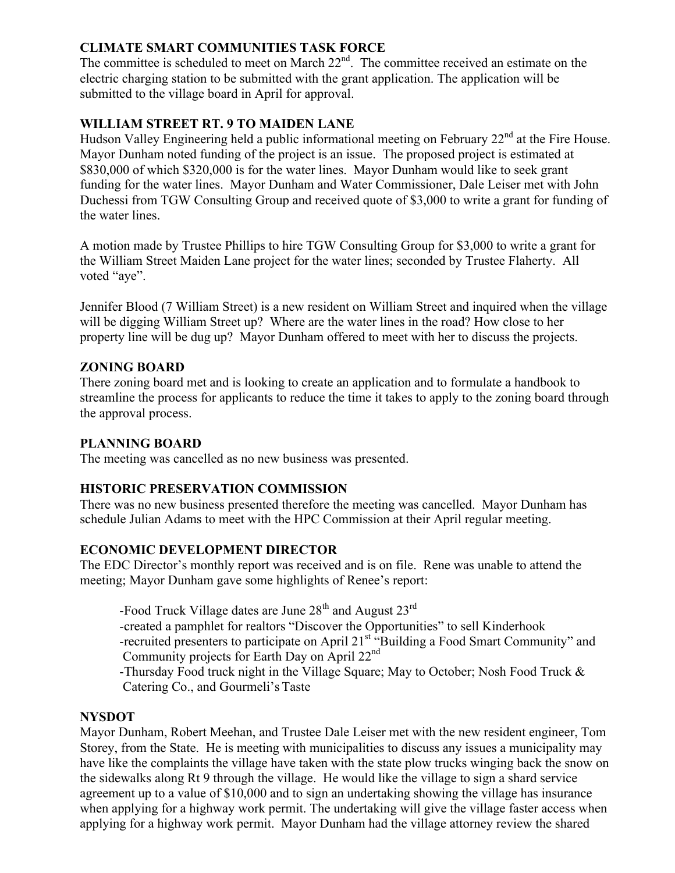# **CLIMATE SMART COMMUNITIES TASK FORCE**

The committee is scheduled to meet on March 22<sup>nd</sup>. The committee received an estimate on the electric charging station to be submitted with the grant application. The application will be submitted to the village board in April for approval.

# **WILLIAM STREET RT. 9 TO MAIDEN LANE**

Hudson Valley Engineering held a public informational meeting on February 22<sup>nd</sup> at the Fire House. Mayor Dunham noted funding of the project is an issue. The proposed project is estimated at \$830,000 of which \$320,000 is for the water lines. Mayor Dunham would like to seek grant funding for the water lines. Mayor Dunham and Water Commissioner, Dale Leiser met with John Duchessi from TGW Consulting Group and received quote of \$3,000 to write a grant for funding of the water lines.

A motion made by Trustee Phillips to hire TGW Consulting Group for \$3,000 to write a grant for the William Street Maiden Lane project for the water lines; seconded by Trustee Flaherty. All voted "aye".

Jennifer Blood (7 William Street) is a new resident on William Street and inquired when the village will be digging William Street up? Where are the water lines in the road? How close to her property line will be dug up? Mayor Dunham offered to meet with her to discuss the projects.

## **ZONING BOARD**

There zoning board met and is looking to create an application and to formulate a handbook to streamline the process for applicants to reduce the time it takes to apply to the zoning board through the approval process.

## **PLANNING BOARD**

The meeting was cancelled as no new business was presented.

## **HISTORIC PRESERVATION COMMISSION**

There was no new business presented therefore the meeting was cancelled. Mayor Dunham has schedule Julian Adams to meet with the HPC Commission at their April regular meeting.

## **ECONOMIC DEVELOPMENT DIRECTOR**

The EDC Director's monthly report was received and is on file. Rene was unable to attend the meeting; Mayor Dunham gave some highlights of Renee's report:

-Food Truck Village dates are June  $28<sup>th</sup>$  and August  $23<sup>rd</sup>$ 

-created a pamphlet for realtors "Discover the Opportunities" to sell Kinderhook

-recruited presenters to participate on April 21<sup>st</sup> "Building a Food Smart Community" and Community projects for Earth Day on April 22nd

-Thursday Food truck night in the Village Square; May to October; Nosh Food Truck & Catering Co., and Gourmeli's Taste

## **NYSDOT**

Mayor Dunham, Robert Meehan, and Trustee Dale Leiser met with the new resident engineer, Tom Storey, from the State. He is meeting with municipalities to discuss any issues a municipality may have like the complaints the village have taken with the state plow trucks winging back the snow on the sidewalks along Rt 9 through the village. He would like the village to sign a shard service agreement up to a value of \$10,000 and to sign an undertaking showing the village has insurance when applying for a highway work permit. The undertaking will give the village faster access when applying for a highway work permit. Mayor Dunham had the village attorney review the shared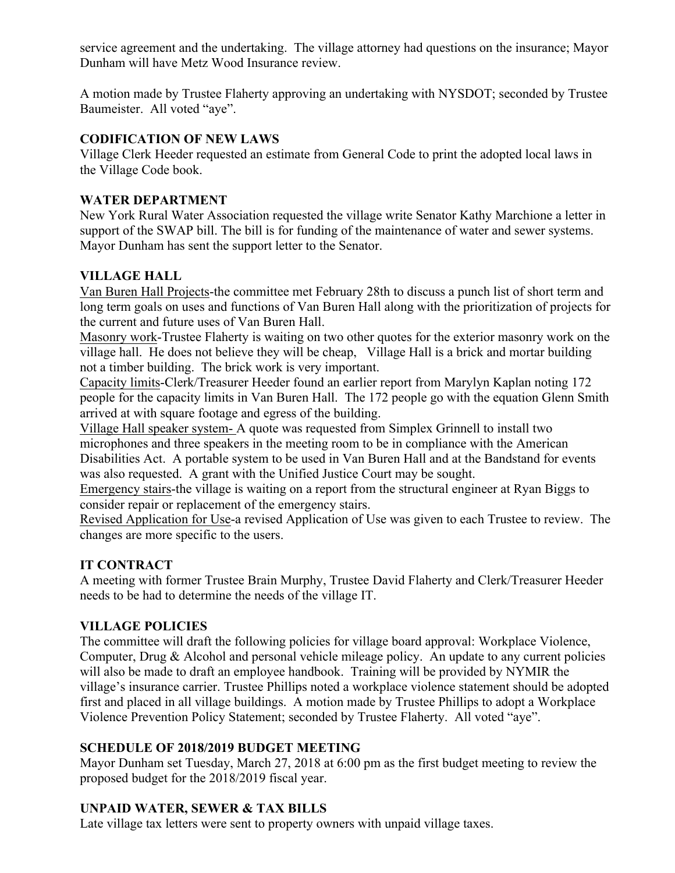service agreement and the undertaking. The village attorney had questions on the insurance; Mayor Dunham will have Metz Wood Insurance review.

A motion made by Trustee Flaherty approving an undertaking with NYSDOT; seconded by Trustee Baumeister. All voted "aye".

## **CODIFICATION OF NEW LAWS**

Village Clerk Heeder requested an estimate from General Code to print the adopted local laws in the Village Code book.

## **WATER DEPARTMENT**

New York Rural Water Association requested the village write Senator Kathy Marchione a letter in support of the SWAP bill. The bill is for funding of the maintenance of water and sewer systems. Mayor Dunham has sent the support letter to the Senator.

## **VILLAGE HALL**

Van Buren Hall Projects-the committee met February 28th to discuss a punch list of short term and long term goals on uses and functions of Van Buren Hall along with the prioritization of projects for the current and future uses of Van Buren Hall.

Masonry work-Trustee Flaherty is waiting on two other quotes for the exterior masonry work on the village hall. He does not believe they will be cheap, Village Hall is a brick and mortar building not a timber building. The brick work is very important.

Capacity limits-Clerk/Treasurer Heeder found an earlier report from Marylyn Kaplan noting 172 people for the capacity limits in Van Buren Hall. The 172 people go with the equation Glenn Smith arrived at with square footage and egress of the building.

Village Hall speaker system- A quote was requested from Simplex Grinnell to install two microphones and three speakers in the meeting room to be in compliance with the American Disabilities Act. A portable system to be used in Van Buren Hall and at the Bandstand for events was also requested. A grant with the Unified Justice Court may be sought.

Emergency stairs-the village is waiting on a report from the structural engineer at Ryan Biggs to consider repair or replacement of the emergency stairs.

Revised Application for Use-a revised Application of Use was given to each Trustee to review. The changes are more specific to the users.

## **IT CONTRACT**

A meeting with former Trustee Brain Murphy, Trustee David Flaherty and Clerk/Treasurer Heeder needs to be had to determine the needs of the village IT.

## **VILLAGE POLICIES**

The committee will draft the following policies for village board approval: Workplace Violence, Computer, Drug & Alcohol and personal vehicle mileage policy. An update to any current policies will also be made to draft an employee handbook. Training will be provided by NYMIR the village's insurance carrier. Trustee Phillips noted a workplace violence statement should be adopted first and placed in all village buildings. A motion made by Trustee Phillips to adopt a Workplace Violence Prevention Policy Statement; seconded by Trustee Flaherty. All voted "aye".

# **SCHEDULE OF 2018/2019 BUDGET MEETING**

Mayor Dunham set Tuesday, March 27, 2018 at 6:00 pm as the first budget meeting to review the proposed budget for the 2018/2019 fiscal year.

# **UNPAID WATER, SEWER & TAX BILLS**

Late village tax letters were sent to property owners with unpaid village taxes.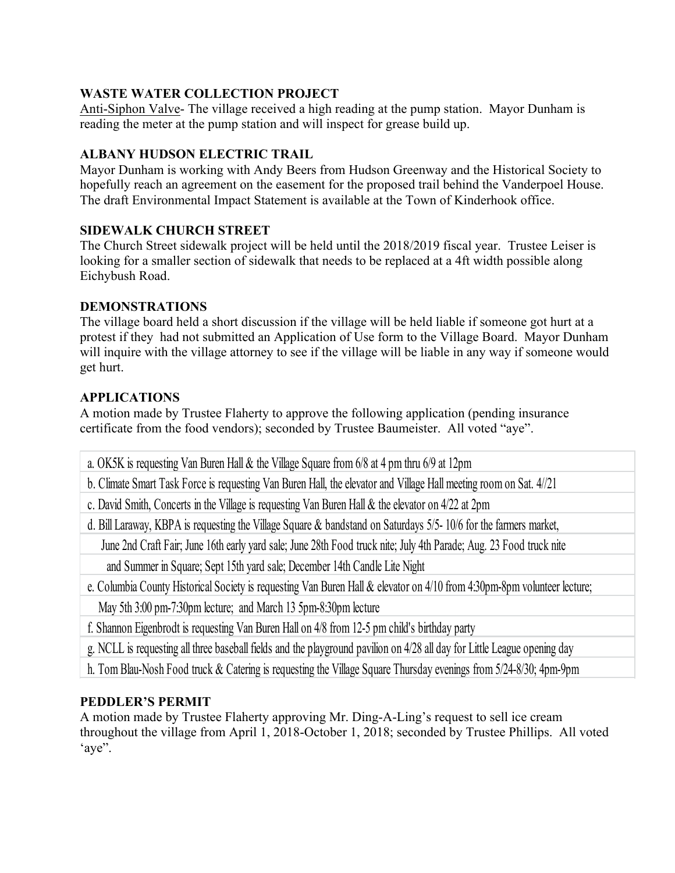# **WASTE WATER COLLECTION PROJECT**

Anti-Siphon Valve- The village received a high reading at the pump station. Mayor Dunham is reading the meter at the pump station and will inspect for grease build up.

# **ALBANY HUDSON ELECTRIC TRAIL**

Mayor Dunham is working with Andy Beers from Hudson Greenway and the Historical Society to hopefully reach an agreement on the easement for the proposed trail behind the Vanderpoel House. The draft Environmental Impact Statement is available at the Town of Kinderhook office.

## **SIDEWALK CHURCH STREET**

The Church Street sidewalk project will be held until the 2018/2019 fiscal year. Trustee Leiser is looking for a smaller section of sidewalk that needs to be replaced at a 4ft width possible along Eichybush Road.

## **DEMONSTRATIONS**

The village board held a short discussion if the village will be held liable if someone got hurt at a protest if they had not submitted an Application of Use form to the Village Board. Mayor Dunham will inquire with the village attorney to see if the village will be liable in any way if someone would get hurt.

# **APPLICATIONS**

A motion made by Trustee Flaherty to approve the following application (pending insurance certificate from the food vendors); seconded by Trustee Baumeister. All voted "aye".

 a. OK5K is requesting Van Buren Hall & the Village Square from 6/8 at 4 pm thru 6/9 at 12pm b. Climate Smart Task Force is requesting Van Buren Hall, the elevator and Village Hall meeting room on Sat. 4//21 c. David Smith, Concerts in the Village is requesting Van Buren Hall & the elevator on 4/22 at 2pm d. Bill Laraway, KBPA is requesting the Village Square & bandstand on Saturdays 5/5- 10/6 for the farmers market, June 2nd Craft Fair; June 16th early yard sale; June 28th Food truck nite; July 4th Parade; Aug. 23 Food truck nite and Summer in Square; Sept 15th yard sale; December 14th Candle Lite Night e. Columbia County Historical Society is requesting Van Buren Hall & elevator on 4/10 from 4:30pm-8pm volunteer lecture; May 5th 3:00 pm-7:30pm lecture; and March 13 5pm-8:30pm lecture f. Shannon Eigenbrodt is requesting Van Buren Hall on 4/8 from 12-5 pm child's birthday party g. NCLL is requesting all three baseball fields and the playground pavilion on 4/28 all day for Little League opening day h. Tom Blau-Nosh Food truck & Catering is requesting the Village Square Thursday evenings from 5/24-8/30; 4pm-9pm

# **PEDDLER'S PERMIT**

A motion made by Trustee Flaherty approving Mr. Ding-A-Ling's request to sell ice cream throughout the village from April 1, 2018-October 1, 2018; seconded by Trustee Phillips. All voted 'aye".